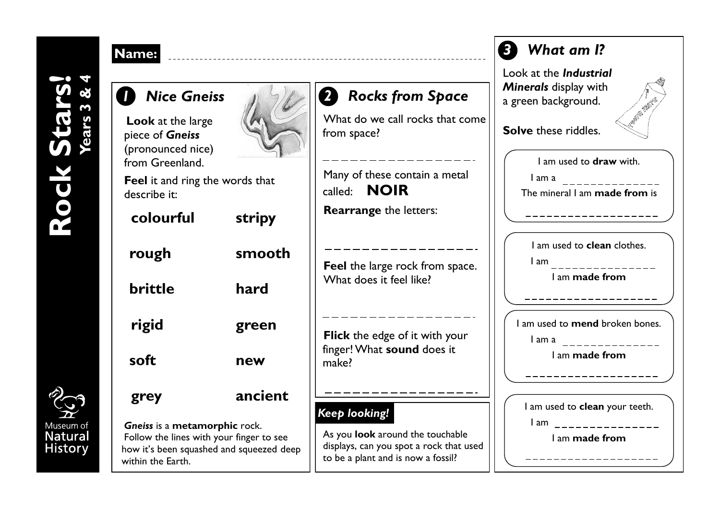## **Years 3 & 4Rock Stars!** Rock Stars

**Name:**



| <u><b>lame:</b></u>                                                                                                                        |         |                                                                                                                              |
|--------------------------------------------------------------------------------------------------------------------------------------------|---------|------------------------------------------------------------------------------------------------------------------------------|
| <b>Nice Gneiss</b><br><b>Look</b> at the large                                                                                             |         | <b>2</b> Rocks from Space<br>What do we call rocks that o                                                                    |
| piece of Gneiss<br>(pronounced nice)<br>from Greenland.                                                                                    |         | from space?                                                                                                                  |
| <b>Feel</b> it and ring the words that<br>describe it:                                                                                     |         | Many of these contain a meta<br>called: <b>NOIR</b>                                                                          |
| colourful                                                                                                                                  | stripy  | <b>Rearrange</b> the letters:                                                                                                |
| rough                                                                                                                                      | smooth  | <b>Feel</b> the large rock from spa<br>What does it feel like?                                                               |
| brittle                                                                                                                                    | hard    |                                                                                                                              |
| rigid                                                                                                                                      | green   | Flick the edge of it with you<br>finger! What sound does it<br>make?                                                         |
| soft                                                                                                                                       | new     |                                                                                                                              |
| grey                                                                                                                                       | ancient |                                                                                                                              |
| Gneiss is a metamorphic rock.<br>Follow the lines with your finger to see<br>how it's been squashed and squeezed deep<br>within the Earth. |         | Keep looking!<br>As you look around the touchabl<br>displays, can you spot a rock that<br>to be a plant and is now a fossil? |



## *2 Rocks from Space*

What do we call rocks that come from space?

Many of these contain a metal called: **NOIR**

**Feel** the large rock from space. What does it feel like?

## *Keep looking!*

As you **look** around the touchable displays, can you spot a rock that used to be a plant and is now a fossil?



I am **made from**

I am used to **clean** your teeth. I am and the state of the state of the state of the state of the state of the state of the state of the state of the state of the state of the state of the state of the state of the state of the state of the state of the s

I am **made from**

\_\_\_\_\_\_\_\_\_\_\_\_\_\_\_\_\_\_\_